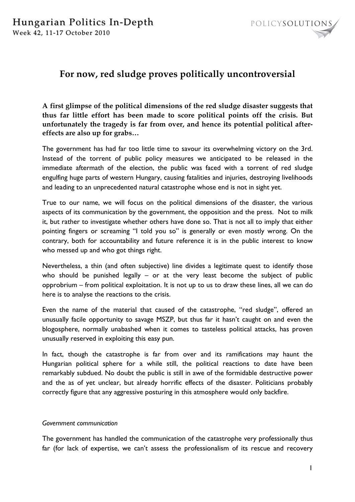

# **For now, red sludge proves politically uncontroversial**

**A first glimpse of the political dimensions of the red sludge disaster suggests that thus far little effort has been made to score political points off the crisis. But unfortunately the tragedy is far from over, and hence its potential political aftereffects are also up for grabs…**

The government has had far too little time to savour its overwhelming victory on the 3rd. Instead of the torrent of public policy measures we anticipated to be released in the immediate aftermath of the election, the public was faced with a torrent of red sludge engulfing huge parts of western Hungary, causing fatalities and injuries, destroying livelihoods and leading to an unprecedented natural catastrophe whose end is not in sight yet.

True to our name, we will focus on the political dimensions of the disaster, the various aspects of its communication by the government, the opposition and the press. Not to milk it, but rather to investigate whether others have done so. That is not all to imply that either pointing fingers or screaming "I told you so" is generally or even mostly wrong. On the contrary, both for accountability and future reference it is in the public interest to know who messed up and who got things right.

Nevertheless, a thin (and often subjective) line divides a legitimate quest to identify those who should be punished legally – or at the very least become the subject of public opprobrium – from political exploitation. It is not up to us to draw these lines, all we can do here is to analyse the reactions to the crisis.

Even the name of the material that caused of the catastrophe, "red sludge", offered an unusually facile opportunity to savage MSZP, but thus far it hasn't caught on and even the blogosphere, normally unabashed when it comes to tasteless political attacks, has proven unusually reserved in exploiting this easy pun.

In fact, though the catastrophe is far from over and its ramifications may haunt the Hungarian political sphere for a while still, the political reactions to date have been remarkably subdued. No doubt the public is still in awe of the formidable destructive power and the as of yet unclear, but already horrific effects of the disaster. Politicians probably correctly figure that any aggressive posturing in this atmosphere would only backfire.

# *Government communication*

The government has handled the communication of the catastrophe very professionally thus far (for lack of expertise, we can't assess the professionalism of its rescue and recovery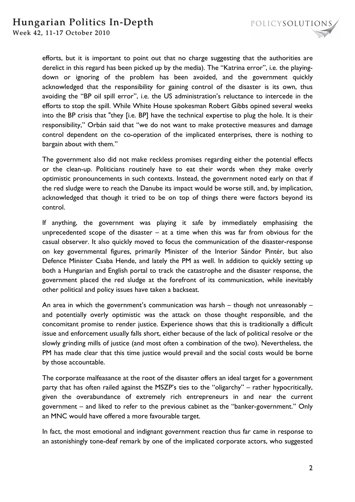

efforts, but it is important to point out that no charge suggesting that the authorities are derelict in this regard has been picked up by the media). The "Katrina error", i.e. the playingdown or ignoring of the problem has been avoided, and the government quickly acknowledged that the responsibility for gaining control of the disaster is its own, thus avoiding the "BP oil spill error", i.e. the US administration's reluctance to intercede in the efforts to stop the spill. While White House spokesman Robert Gibbs opined several weeks into the BP crisis that "they [i.e. BP] have the technical expertise to plug the hole. It is their responsibility," Orbán said that "we do not want to make protective measures and damage control dependent on the co-operation of the implicated enterprises, there is nothing to bargain about with them."

The government also did not make reckless promises regarding either the potential effects or the clean-up. Politicians routinely have to eat their words when they make overly optimistic pronouncements in such contexts. Instead, the government noted early on that if the red sludge were to reach the Danube its impact would be worse still, and, by implication, acknowledged that though it tried to be on top of things there were factors beyond its control.

If anything, the government was playing it safe by immediately emphasising the unprecedented scope of the disaster  $-$  at a time when this was far from obvious for the casual observer. It also quickly moved to focus the communication of the disaster-response on key governmental figures, primarily Minister of the Interior Sándor Pintér, but also Defence Minister Csaba Hende, and lately the PM as well. In addition to quickly setting up both a Hungarian and English portal to track the catastrophe and the disaster response, the government placed the red sludge at the forefront of its communication, while inevitably other political and policy issues have taken a backseat.

An area in which the government's communication was harsh – though not unreasonably – and potentially overly optimistic was the attack on those thought responsible, and the concomitant promise to render justice. Experience shows that this is traditionally a difficult issue and enforcement usually falls short, either because of the lack of political resolve or the slowly grinding mills of justice (and most often a combination of the two). Nevertheless, the PM has made clear that this time justice would prevail and the social costs would be borne by those accountable.

The corporate malfeasance at the root of the disaster offers an ideal target for a government party that has often railed against the MSZP's ties to the "oligarchy" – rather hypocritically, given the overabundance of extremely rich entrepreneurs in and near the current government – and liked to refer to the previous cabinet as the "banker-government." Only an MNC would have offered a more favourable target.

In fact, the most emotional and indignant government reaction thus far came in response to an astonishingly tone-deaf remark by one of the implicated corporate actors, who suggested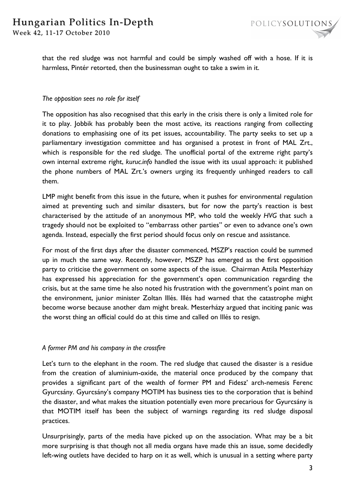that the red sludge was not harmful and could be simply washed off with a hose. If it is harmless, Pintér retorted, then the businessman ought to take a swim in it.

# *The opposition sees no role for itself*

The opposition has also recognised that this early in the crisis there is only a limited role for it to play. Jobbik has probably been the most active, its reactions ranging from collecting donations to emphasising one of its pet issues, accountability. The party seeks to set up a parliamentary investigation committee and has organised a protest in front of MAL Zrt., which is responsible for the red sludge. The unofficial portal of the extreme right party's own internal extreme right, *kuruc.info* handled the issue with its usual approach: it published the phone numbers of MAL Zrt.'s owners urging its frequently unhinged readers to call them.

LMP might benefit from this issue in the future, when it pushes for environmental regulation aimed at preventing such and similar disasters, but for now the party's reaction is best characterised by the attitude of an anonymous MP, who told the weekly *HVG* that such a tragedy should not be exploited to "embarrass other parties" or even to advance one's own agenda. Instead, especially the first period should focus only on rescue and assistance.

For most of the first days after the disaster commenced, MSZP's reaction could be summed up in much the same way. Recently, however, MSZP has emerged as the first opposition party to criticise the government on some aspects of the issue. Chairman Attila Mesterházy has expressed his appreciation for the government's open communication regarding the crisis, but at the same time he also noted his frustration with the government's point man on the environment, junior minister Zoltan Illés. Illés had warned that the catastrophe might become worse because another dam might break. Mesterházy argued that inciting panic was the worst thing an official could do at this time and called on Illés to resign.

# *A former PM and his company in the crossfire*

Let's turn to the elephant in the room. The red sludge that caused the disaster is a residue from the creation of aluminium-oxide, the material once produced by the company that provides a significant part of the wealth of former PM and Fidesz' arch-nemesis Ferenc Gyurcsány. Gyurcsány's company MOTIM has business ties to the corporation that is behind the disaster, and what makes the situation potentially even more precarious for Gyurcsány is that MOTIM itself has been the subject of warnings regarding its red sludge disposal practices.

Unsurprisingly, parts of the media have picked up on the association. What may be a bit more surprising is that though not all media organs have made this an issue, some decidedly left-wing outlets have decided to harp on it as well, which is unusual in a setting where party